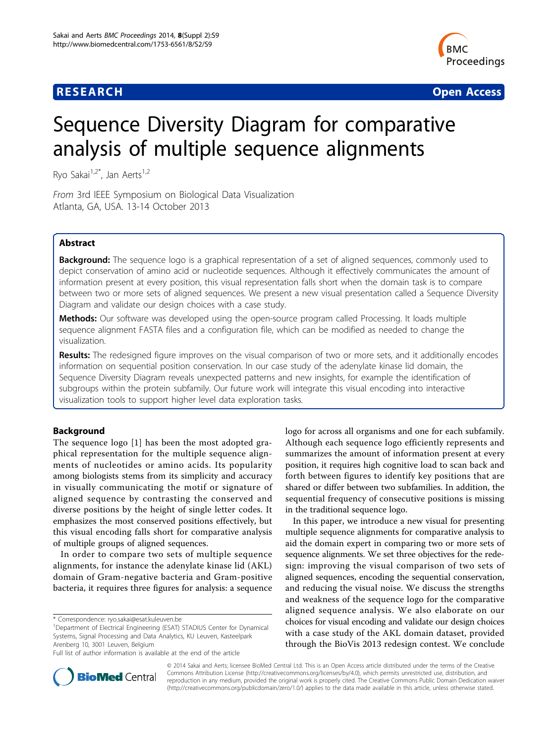

**RESEARCH CONTROL** CONTROL CONTROL CONTROL CONTROL CONTROL CONTROL CONTROL CONTROL CONTROL CONTROL CONTROL CONTROL

# Sequence Diversity Diagram for comparative analysis of multiple sequence alignments

Ryo Sakai<sup>1,2\*</sup>, Jan Aerts<sup>1,2</sup>

From 3rd IEEE Symposium on Biological Data Visualization Atlanta, GA, USA. 13-14 October 2013

### Abstract

**Background:** The sequence logo is a graphical representation of a set of aligned sequences, commonly used to depict conservation of amino acid or nucleotide sequences. Although it effectively communicates the amount of information present at every position, this visual representation falls short when the domain task is to compare between two or more sets of aligned sequences. We present a new visual presentation called a Sequence Diversity Diagram and validate our design choices with a case study.

Methods: Our software was developed using the open-source program called Processing. It loads multiple sequence alignment FASTA files and a configuration file, which can be modified as needed to change the visualization.

Results: The redesigned figure improves on the visual comparison of two or more sets, and it additionally encodes information on sequential position conservation. In our case study of the adenylate kinase lid domain, the Sequence Diversity Diagram reveals unexpected patterns and new insights, for example the identification of subgroups within the protein subfamily. Our future work will integrate this visual encoding into interactive visualization tools to support higher level data exploration tasks.

#### Background

The sequence logo [\[1](#page-3-0)] has been the most adopted graphical representation for the multiple sequence alignments of nucleotides or amino acids. Its popularity among biologists stems from its simplicity and accuracy in visually communicating the motif or signature of aligned sequence by contrasting the conserved and diverse positions by the height of single letter codes. It emphasizes the most conserved positions effectively, but this visual encoding falls short for comparative analysis of multiple groups of aligned sequences.

In order to compare two sets of multiple sequence alignments, for instance the adenylate kinase lid (AKL) domain of Gram-negative bacteria and Gram-positive bacteria, it requires three figures for analysis: a sequence

\* Correspondence: [ryo.sakai@esat.kuleuven.be](mailto:ryo.sakai@esat.kuleuven.be)

logo for across all organisms and one for each subfamily. Although each sequence logo efficiently represents and summarizes the amount of information present at every position, it requires high cognitive load to scan back and forth between figures to identify key positions that are shared or differ between two subfamilies. In addition, the sequential frequency of consecutive positions is missing in the traditional sequence logo.

In this paper, we introduce a new visual for presenting multiple sequence alignments for comparative analysis to aid the domain expert in comparing two or more sets of sequence alignments. We set three objectives for the redesign: improving the visual comparison of two sets of aligned sequences, encoding the sequential conservation, and reducing the visual noise. We discuss the strengths and weakness of the sequence logo for the comparative aligned sequence analysis. We also elaborate on our choices for visual encoding and validate our design choices with a case study of the AKL domain dataset, provided through the BioVis 2013 redesign contest. We conclude



© 2014 Sakai and Aerts; licensee BioMed Central Ltd. This is an Open Access article distributed under the terms of the Creative Commons Attribution License [\(http://creativecommons.org/licenses/by/4.0](http://creativecommons.org/licenses/by/4.0)), which permits unrestricted use, distribution, and reproduction in any medium, provided the original work is properly cited. The Creative Commons Public Domain Dedication waiver [\(http://creativecommons.org/publicdomain/zero/1.0/](http://creativecommons.org/publicdomain/zero/1.0/)) applies to the data made available in this article, unless otherwise stated.

<sup>&</sup>lt;sup>1</sup>Department of Electrical Engineering (ESAT) STADIUS Center for Dynamical Systems, Signal Processing and Data Analytics, KU Leuven, Kasteelpark Arenberg 10, 3001 Leuven, Belgium

Full list of author information is available at the end of the article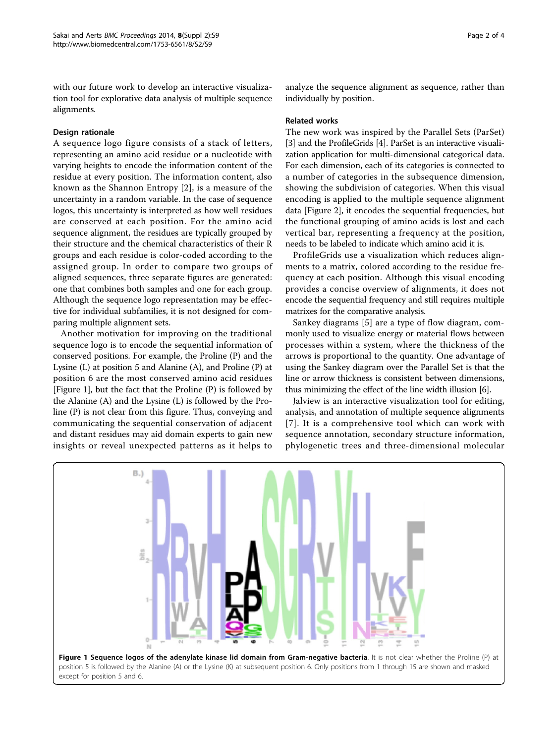with our future work to develop an interactive visualization tool for explorative data analysis of multiple sequence alignments.

#### Design rationale

A sequence logo figure consists of a stack of letters, representing an amino acid residue or a nucleotide with varying heights to encode the information content of the residue at every position. The information content, also known as the Shannon Entropy [[2\]](#page-3-0), is a measure of the uncertainty in a random variable. In the case of sequence logos, this uncertainty is interpreted as how well residues are conserved at each position. For the amino acid sequence alignment, the residues are typically grouped by their structure and the chemical characteristics of their R groups and each residue is color-coded according to the assigned group. In order to compare two groups of aligned sequences, three separate figures are generated: one that combines both samples and one for each group. Although the sequence logo representation may be effective for individual subfamilies, it is not designed for comparing multiple alignment sets.

Another motivation for improving on the traditional sequence logo is to encode the sequential information of conserved positions. For example, the Proline (P) and the Lysine (L) at position 5 and Alanine (A), and Proline (P) at position 6 are the most conserved amino acid residues [Figure 1], but the fact that the Proline (P) is followed by the Alanine (A) and the Lysine (L) is followed by the Proline (P) is not clear from this figure. Thus, conveying and communicating the sequential conservation of adjacent and distant residues may aid domain experts to gain new insights or reveal unexpected patterns as it helps to analyze the sequence alignment as sequence, rather than individually by position.

#### Related works

The new work was inspired by the Parallel Sets (ParSet) [[3\]](#page-3-0) and the ProfileGrids [\[4](#page-3-0)]. ParSet is an interactive visualization application for multi-dimensional categorical data. For each dimension, each of its categories is connected to a number of categories in the subsequence dimension, showing the subdivision of categories. When this visual encoding is applied to the multiple sequence alignment data [Figure [2](#page-2-0)], it encodes the sequential frequencies, but the functional grouping of amino acids is lost and each vertical bar, representing a frequency at the position, needs to be labeled to indicate which amino acid it is.

ProfileGrids use a visualization which reduces alignments to a matrix, colored according to the residue frequency at each position. Although this visual encoding provides a concise overview of alignments, it does not encode the sequential frequency and still requires multiple matrixes for the comparative analysis.

Sankey diagrams [\[5\]](#page-3-0) are a type of flow diagram, commonly used to visualize energy or material flows between processes within a system, where the thickness of the arrows is proportional to the quantity. One advantage of using the Sankey diagram over the Parallel Set is that the line or arrow thickness is consistent between dimensions, thus minimizing the effect of the line width illusion [[6](#page-3-0)].

Jalview is an interactive visualization tool for editing, analysis, and annotation of multiple sequence alignments [[7\]](#page-3-0). It is a comprehensive tool which can work with sequence annotation, secondary structure information, phylogenetic trees and three-dimensional molecular

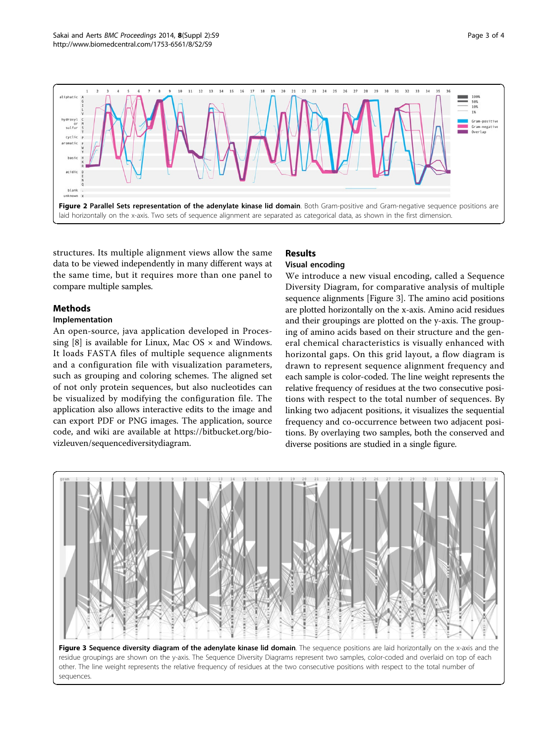<span id="page-2-0"></span>

structures. Its multiple alignment views allow the same data to be viewed independently in many different ways at the same time, but it requires more than one panel to compare multiple samples.

#### Methods

#### Implementation

An open-source, java application developed in Processing  $[8]$  $[8]$  is available for Linux, Mac OS  $\times$  and Windows. It loads FASTA files of multiple sequence alignments and a configuration file with visualization parameters, such as grouping and coloring schemes. The aligned set of not only protein sequences, but also nucleotides can be visualized by modifying the configuration file. The application also allows interactive edits to the image and can export PDF or PNG images. The application, source code, and wiki are available at [https://bitbucket.org/bio](https://bitbucket.org/biovizleuven/sequencediversitydiagram)[vizleuven/sequencediversitydiagram.](https://bitbucket.org/biovizleuven/sequencediversitydiagram)

## Results

#### Visual encoding

We introduce a new visual encoding, called a Sequence Diversity Diagram, for comparative analysis of multiple sequence alignments [Figure 3]. The amino acid positions are plotted horizontally on the x-axis. Amino acid residues and their groupings are plotted on the y-axis. The grouping of amino acids based on their structure and the general chemical characteristics is visually enhanced with horizontal gaps. On this grid layout, a flow diagram is drawn to represent sequence alignment frequency and each sample is color-coded. The line weight represents the relative frequency of residues at the two consecutive positions with respect to the total number of sequences. By linking two adjacent positions, it visualizes the sequential frequency and co-occurrence between two adjacent positions. By overlaying two samples, both the conserved and diverse positions are studied in a single figure.



Figure 3 Sequence diversity diagram of the adenylate kinase lid domain. The sequence positions are laid horizontally on the x-axis and the residue groupings are shown on the y-axis. The Sequence Diversity Diagrams represent two samples, color-coded and overlaid on top of each other. The line weight represents the relative frequency of residues at the two consecutive positions with respect to the total number of sequences.